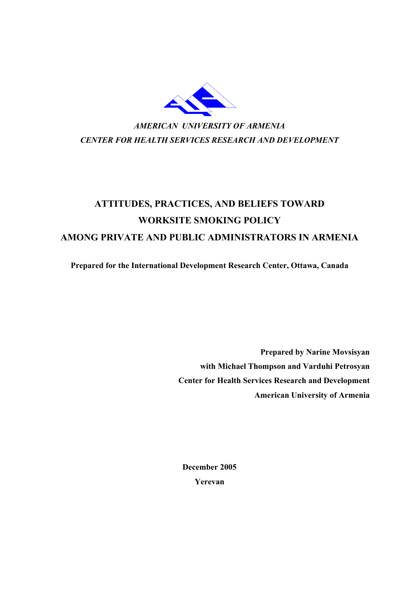

# **ATTITUDES, PRACTICES, AND BELIEFS TOWARD WORKSITE SMOKING POLICY AMONG PRIVATE AND PUBLIC ADMINISTRATORS IN ARMENIA**

**Prepared for the International Development Research Center, Ottawa, Canada** 

**Prepared by Narine Movsisyan with Michael Thompson and Varduhi Petrosyan Center for Health Services Research and Development American University of Armenia** 

**December 2005 Yerevan**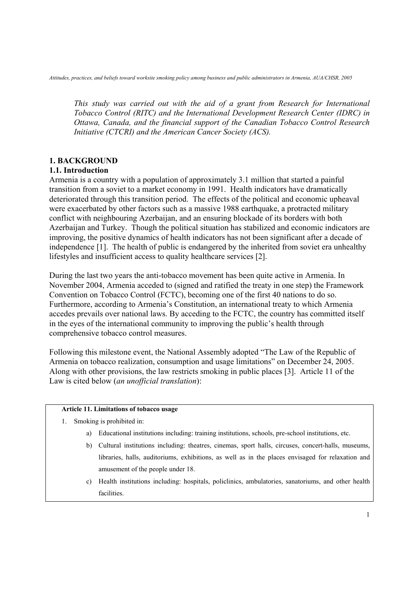*This study was carried out with the aid of a grant from Research for International Tobacco Control (RITC) and the International Development Research Center (IDRC) in Ottawa, Canada, and the financial support of the Canadian Tobacco Control Research Initiative (CTCRI) and the American Cancer Society (ACS).* 

# **1. BACKGROUND**

# **1.1. Introduction**

Armenia is a country with a population of approximately 3.1 million that started a painful transition from a soviet to a market economy in 1991. Health indicators have dramatically deteriorated through this transition period. The effects of the political and economic upheaval were exacerbated by other factors such as a massive 1988 earthquake, a protracted military conflict with neighbouring Azerbaijan, and an ensuring blockade of its borders with both Azerbaijan and Turkey. Though the political situation has stabilized and economic indicators are improving, the positive dynamics of health indicators has not been significant after a decade of independence [1]. The health of public is endangered by the inherited from soviet era unhealthy lifestyles and insufficient access to quality healthcare services [2].

During the last two years the anti-tobacco movement has been quite active in Armenia. In November 2004, Armenia acceded to (signed and ratified the treaty in one step) the Framework Convention on Tobacco Control (FCTC), becoming one of the first 40 nations to do so. Furthermore, according to Armenia's Constitution, an international treaty to which Armenia accedes prevails over national laws. By acceding to the FCTC, the country has committed itself in the eyes of the international community to improving the public's health through comprehensive tobacco control measures.

Following this milestone event, the National Assembly adopted "The Law of the Republic of Armenia on tobacco realization, consumption and usage limitations" on December 24, 2005. Along with other provisions, the law restricts smoking in public places [3]. Article 11 of the Law is cited below (*an unofficial translation*):

#### **Article 11. Limitations of tobacco usage**

- 1. Smoking is prohibited in:
	- a) Educational institutions including: training institutions, schools, pre-school institutions, etc.
	- b) Cultural institutions including: theatres, cinemas, sport halls, circuses, concert-halls, museums, libraries, halls, auditoriums, exhibitions, as well as in the places envisaged for relaxation and amusement of the people under 18.
	- c) Health institutions including: hospitals, policlinics, ambulatories, sanatoriums, and other health facilities.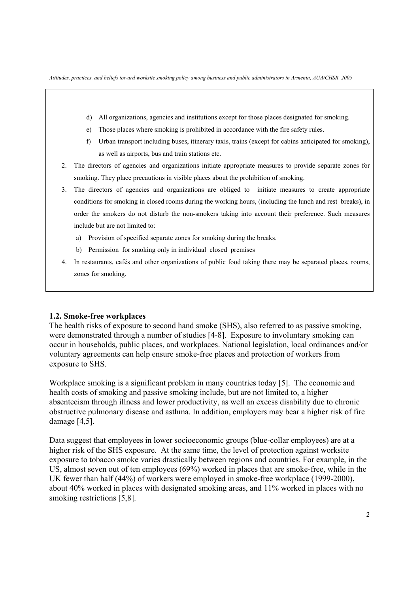- d) All organizations, agencies and institutions except for those places designated for smoking.
- e) Those places where smoking is prohibited in accordance with the fire safety rules.
- f) Urban transport including buses, itinerary taxis, trains (except for cabins anticipated for smoking), as well as airports, bus and train stations etc.
- 2. The directors of agencies and organizations initiate appropriate measures to provide separate zones for smoking. They place precautions in visible places about the prohibition of smoking.
- 3. The directors of agencies and organizations are obliged to initiate measures to create appropriate conditions for smoking in closed rooms during the working hours, (including the lunch and rest breaks), in order the smokers do not disturb the non-smokers taking into account their preference. Such measures include but are not limited to:
	- a) Provision of specified separate zones for smoking during the breaks.
	- b) Permission for smoking only in individual closed premises
- 4. In restaurants, cafés and other organizations of public food taking there may be separated places, rooms, zones for smoking.

#### **1.2. Smoke-free workplaces**

The health risks of exposure to second hand smoke (SHS), also referred to as passive smoking, were demonstrated through a number of studies [4-8]. Exposure to involuntary smoking can occur in households, public places, and workplaces. National legislation, local ordinances and/or voluntary agreements can help ensure smoke-free places and protection of workers from exposure to SHS.

Workplace smoking is a significant problem in many countries today [5]. The economic and health costs of smoking and passive smoking include, but are not limited to, a higher absenteeism through illness and lower productivity, as well an excess disability due to chronic obstructive pulmonary disease and asthma. In addition, employers may bear a higher risk of fire damage [4,5].

Data suggest that employees in lower socioeconomic groups (blue-collar employees) are at a higher risk of the SHS exposure. At the same time, the level of protection against worksite exposure to tobacco smoke varies drastically between regions and countries. For example, in the US, almost seven out of ten employees (69%) worked in places that are smoke-free, while in the UK fewer than half (44%) of workers were employed in smoke-free workplace (1999-2000), about 40% worked in places with designated smoking areas, and 11% worked in places with no smoking restrictions [5,8].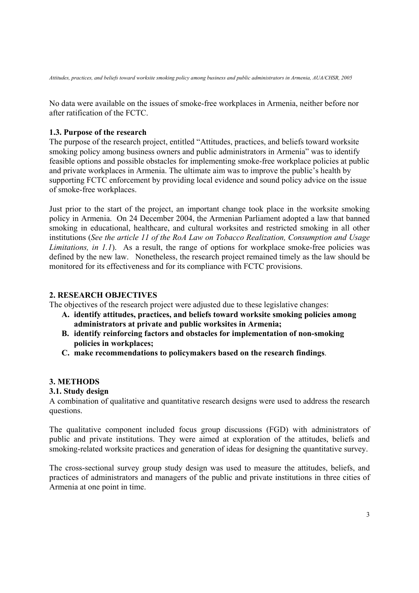No data were available on the issues of smoke-free workplaces in Armenia, neither before nor after ratification of the FCTC.

### **1.3. Purpose of the research**

The purpose of the research project, entitled "Attitudes, practices, and beliefs toward worksite smoking policy among business owners and public administrators in Armenia" was to identify feasible options and possible obstacles for implementing smoke-free workplace policies at public and private workplaces in Armenia. The ultimate aim was to improve the public's health by supporting FCTC enforcement by providing local evidence and sound policy advice on the issue of smoke-free workplaces.

Just prior to the start of the project, an important change took place in the worksite smoking policy in Armenia. On 24 December 2004, the Armenian Parliament adopted a law that banned smoking in educational, healthcare, and cultural worksites and restricted smoking in all other institutions (*See the article 11 of the RoA Law on Tobacco Realization, Consumption and Usage Limitations, in 1.1*). As a result, the range of options for workplace smoke-free policies was defined by the new law. Nonetheless, the research project remained timely as the law should be monitored for its effectiveness and for its compliance with FCTC provisions.

### **2. RESEARCH OBJECTIVES**

The objectives of the research project were adjusted due to these legislative changes:

- **A. identify attitudes, practices, and beliefs toward worksite smoking policies among administrators at private and public worksites in Armenia;**
- **B. identify reinforcing factors and obstacles for implementation of non-smoking policies in workplaces;**
- **C. make recommendations to policymakers based on the research findings**.

# **3. METHODS**

### **3.1. Study design**

A combination of qualitative and quantitative research designs were used to address the research questions.

The qualitative component included focus group discussions (FGD) with administrators of public and private institutions. They were aimed at exploration of the attitudes, beliefs and smoking-related worksite practices and generation of ideas for designing the quantitative survey.

The cross-sectional survey group study design was used to measure the attitudes, beliefs, and practices of administrators and managers of the public and private institutions in three cities of Armenia at one point in time.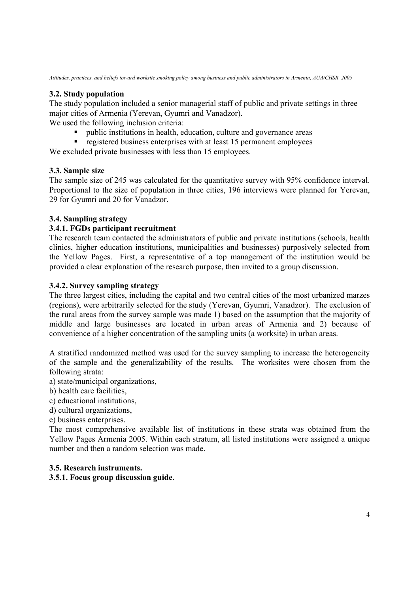# **3.2. Study population**

The study population included a senior managerial staff of public and private settings in three major cities of Armenia (Yerevan, Gyumri and Vanadzor).

We used the following inclusion criteria:

- public institutions in health, education, culture and governance areas
- registered business enterprises with at least 15 permanent employees

We excluded private businesses with less than 15 employees.

# **3.3. Sample size**

The sample size of 245 was calculated for the quantitative survey with 95% confidence interval. Proportional to the size of population in three cities, 196 interviews were planned for Yerevan, 29 for Gyumri and 20 for Vanadzor.

# **3.4. Sampling strategy**

# **3.4.1. FGDs participant recruitment**

The research team contacted the administrators of public and private institutions (schools, health clinics, higher education institutions, municipalities and businesses) purposively selected from the Yellow Pages. First, a representative of a top management of the institution would be provided a clear explanation of the research purpose, then invited to a group discussion.

# **3.4.2. Survey sampling strategy**

The three largest cities, including the capital and two central cities of the most urbanized marzes (regions), were arbitrarily selected for the study (Yerevan, Gyumri, Vanadzor). The exclusion of the rural areas from the survey sample was made 1) based on the assumption that the majority of middle and large businesses are located in urban areas of Armenia and 2) because of convenience of a higher concentration of the sampling units (a worksite) in urban areas.

A stratified randomized method was used for the survey sampling to increase the heterogeneity of the sample and the generalizability of the results. The worksites were chosen from the following strata:

- a) state/municipal organizations,
- b) health care facilities,
- c) educational institutions,
- d) cultural organizations,
- e) business enterprises.

The most comprehensive available list of institutions in these strata was obtained from the Yellow Pages Armenia 2005. Within each stratum, all listed institutions were assigned a unique number and then a random selection was made.

# **3.5. Research instruments.**

# **3.5.1. Focus group discussion guide.**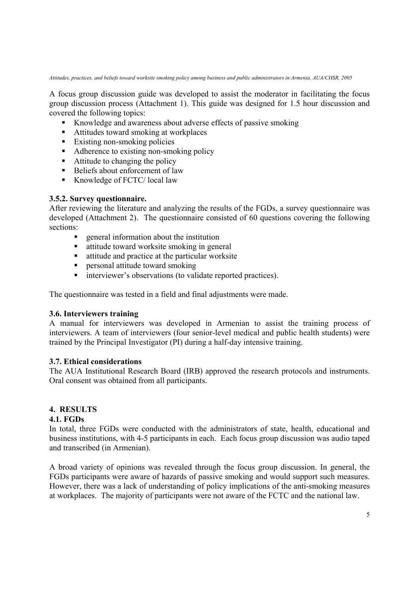A focus group discussion guide was developed to assist the moderator in facilitating the focus group discussion process (Attachment 1). This guide was designed for 1.5 hour discussion and covered the following topics:

- Knowledge and awareness about adverse effects of passive smoking
- Attitudes toward smoking at workplaces
- $\blacksquare$  Existing non-smoking policies
- Adherence to existing non-smoking policy
- $\blacksquare$  Attitude to changing the policy
- Beliefs about enforcement of law
- Knowledge of FCTC/ local law

# **3.5.2. Survey questionnaire.**

After reviewing the literature and analyzing the results of the FGDs, a survey questionnaire was developed (Attachment 2). The questionnaire consisted of 60 questions covering the following sections:

- **EXECUTE:** Information about the institution
- attitude toward worksite smoking in general
- $\blacksquare$  attitude and practice at the particular worksite
- **Personal attitude toward smoking**
- $\blacksquare$  interviewer's observations (to validate reported practices).

The questionnaire was tested in a field and final adjustments were made.

# **3.6. Interviewers training**

A manual for interviewers was developed in Armenian to assist the training process of interviewers. A team of interviewers (four senior-level medical and public health students) were trained by the Principal Investigator (PI) during a half-day intensive training.

# **3.7. Ethical considerations**

The AUA Institutional Research Board (IRB) approved the research protocols and instruments. Oral consent was obtained from all participants.

# **4. RESULTS**

# **4.1. FGDs**

In total, three FGDs were conducted with the administrators of state, health, educational and business institutions, with 4-5 participants in each. Each focus group discussion was audio taped and transcribed (in Armenian).

A broad variety of opinions was revealed through the focus group discussion. In general, the FGDs participants were aware of hazards of passive smoking and would support such measures. However, there was a lack of understanding of policy implications of the anti-smoking measures at workplaces. The majority of participants were not aware of the FCTC and the national law.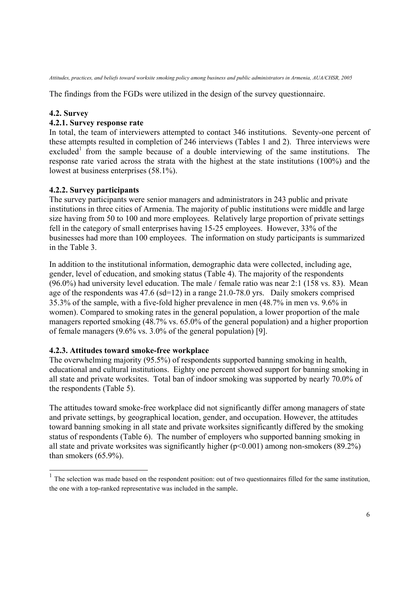The findings from the FGDs were utilized in the design of the survey questionnaire.

# **4.2. Survey**

 $\overline{a}$ 

# **4.2.1. Survey response rate**

In total, the team of interviewers attempted to contact 346 institutions. Seventy-one percent of these attempts resulted in completion of 246 interviews (Tables 1 and 2). Three interviews were excluded<sup>1</sup> from the sample because of a double interviewing of the same institutions. The response rate varied across the strata with the highest at the state institutions (100%) and the lowest at business enterprises (58.1%).

# **4.2.2. Survey participants**

The survey participants were senior managers and administrators in 243 public and private institutions in three cities of Armenia. The majority of public institutions were middle and large size having from 50 to 100 and more employees. Relatively large proportion of private settings fell in the category of small enterprises having 15-25 employees. However, 33% of the businesses had more than 100 employees. The information on study participants is summarized in the Table 3.

In addition to the institutional information, demographic data were collected, including age, gender, level of education, and smoking status (Table 4). The majority of the respondents (96.0%) had university level education. The male / female ratio was near 2:1 (158 vs. 83). Mean age of the respondents was 47.6 (sd=12) in a range 21.0-78.0 yrs. Daily smokers comprised 35.3% of the sample, with a five-fold higher prevalence in men (48.7% in men vs. 9.6% in women). Compared to smoking rates in the general population, a lower proportion of the male managers reported smoking (48.7% vs. 65.0% of the general population) and a higher proportion of female managers (9.6% vs. 3.0% of the general population) [9].

# **4.2.3. Attitudes toward smoke-free workplace**

The overwhelming majority (95.5%) of respondents supported banning smoking in health, educational and cultural institutions. Eighty one percent showed support for banning smoking in all state and private worksites. Total ban of indoor smoking was supported by nearly 70.0% of the respondents (Table 5).

The attitudes toward smoke-free workplace did not significantly differ among managers of state and private settings, by geographical location, gender, and occupation. However, the attitudes toward banning smoking in all state and private worksites significantly differed by the smoking status of respondents (Table 6). The number of employers who supported banning smoking in all state and private worksites was significantly higher  $(p<0.001)$  among non-smokers (89.2%) than smokers (65.9%).

 $<sup>1</sup>$  The selection was made based on the respondent position: out of two questionnaires filled for the same institution,</sup> the one with a top-ranked representative was included in the sample.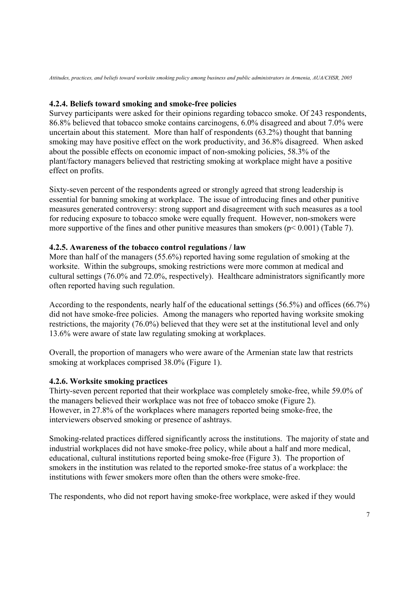# **4.2.4. Beliefs toward smoking and smoke-free policies**

Survey participants were asked for their opinions regarding tobacco smoke. Of 243 respondents, 86.8% believed that tobacco smoke contains carcinogens, 6.0% disagreed and about 7.0% were uncertain about this statement. More than half of respondents (63.2%) thought that banning smoking may have positive effect on the work productivity, and 36.8% disagreed. When asked about the possible effects on economic impact of non-smoking policies, 58.3% of the plant/factory managers believed that restricting smoking at workplace might have a positive effect on profits.

Sixty-seven percent of the respondents agreed or strongly agreed that strong leadership is essential for banning smoking at workplace. The issue of introducing fines and other punitive measures generated controversy: strong support and disagreement with such measures as a tool for reducing exposure to tobacco smoke were equally frequent. However, non-smokers were more supportive of the fines and other punitive measures than smokers ( $p < 0.001$ ) (Table 7).

# **4.2.5. Awareness of the tobacco control regulations / law**

More than half of the managers (55.6%) reported having some regulation of smoking at the worksite. Within the subgroups, smoking restrictions were more common at medical and cultural settings (76.0% and 72.0%, respectively). Healthcare administrators significantly more often reported having such regulation.

According to the respondents, nearly half of the educational settings (56.5%) and offices (66.7%) did not have smoke-free policies. Among the managers who reported having worksite smoking restrictions, the majority (76.0%) believed that they were set at the institutional level and only 13.6% were aware of state law regulating smoking at workplaces.

Overall, the proportion of managers who were aware of the Armenian state law that restricts smoking at workplaces comprised 38.0% (Figure 1).

# **4.2.6. Worksite smoking practices**

Thirty-seven percent reported that their workplace was completely smoke-free, while 59.0% of the managers believed their workplace was not free of tobacco smoke (Figure 2). However, in 27.8% of the workplaces where managers reported being smoke-free, the interviewers observed smoking or presence of ashtrays.

Smoking-related practices differed significantly across the institutions. The majority of state and industrial workplaces did not have smoke-free policy, while about a half and more medical, educational, cultural institutions reported being smoke-free (Figure 3). The proportion of smokers in the institution was related to the reported smoke-free status of a workplace: the institutions with fewer smokers more often than the others were smoke-free.

The respondents, who did not report having smoke-free workplace, were asked if they would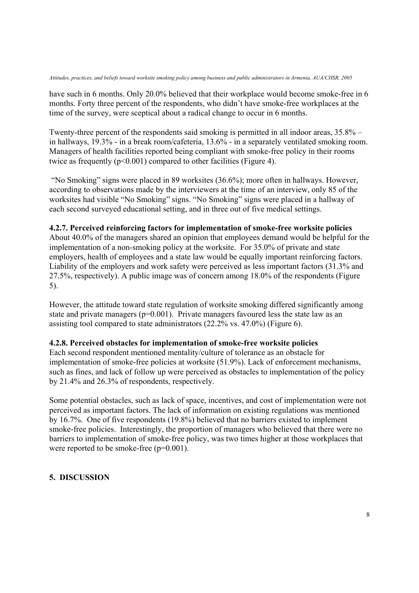have such in 6 months. Only 20.0% believed that their workplace would become smoke-free in 6 months. Forty three percent of the respondents, who didn't have smoke-free workplaces at the time of the survey, were sceptical about a radical change to occur in 6 months.

Twenty-three percent of the respondents said smoking is permitted in all indoor areas, 35.8% – in hallways, 19.3% - in a break room/cafeteria, 13.6% - in a separately ventilated smoking room. Managers of health facilities reported being compliant with smoke-free policy in their rooms twice as frequently  $(p<0.001)$  compared to other facilities (Figure 4).

 "No Smoking" signs were placed in 89 worksites (36.6%); more often in hallways. However, according to observations made by the interviewers at the time of an interview, only 85 of the worksites had visible "No Smoking" signs. "No Smoking" signs were placed in a hallway of each second surveyed educational setting, and in three out of five medical settings.

# **4.2.7. Perceived reinforcing factors for implementation of smoke-free worksite policies**

About 40.0% of the managers shared an opinion that employees demand would be helpful for the implementation of a non-smoking policy at the worksite. For 35.0% of private and state employers, health of employees and a state law would be equally important reinforcing factors. Liability of the employers and work safety were perceived as less important factors (31.3% and 27.5%, respectively). A public image was of concern among 18.0% of the respondents (Figure 5).

However, the attitude toward state regulation of worksite smoking differed significantly among state and private managers ( $p=0.001$ ). Private managers favoured less the state law as an assisting tool compared to state administrators (22.2% vs. 47.0%) (Figure 6).

# **4.2.8. Perceived obstacles for implementation of smoke-free worksite policies**

Each second respondent mentioned mentality/culture of tolerance as an obstacle for implementation of smoke-free policies at worksite (51.9%). Lack of enforcement mechanisms, such as fines, and lack of follow up were perceived as obstacles to implementation of the policy by 21.4% and 26.3% of respondents, respectively.

Some potential obstacles, such as lack of space, incentives, and cost of implementation were not perceived as important factors. The lack of information on existing regulations was mentioned by 16.7%. One of five respondents (19.8%) believed that no barriers existed to implement smoke-free policies. Interestingly, the proportion of managers who believed that there were no barriers to implementation of smoke-free policy, was two times higher at those workplaces that were reported to be smoke-free ( $p=0.001$ ).

# **5. DISCUSSION**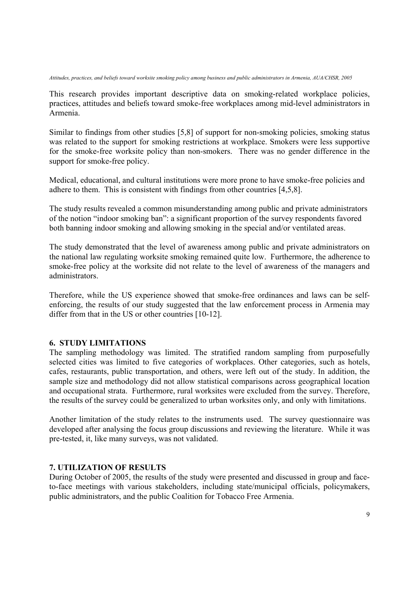This research provides important descriptive data on smoking-related workplace policies, practices, attitudes and beliefs toward smoke-free workplaces among mid-level administrators in Armenia.

Similar to findings from other studies [5,8] of support for non-smoking policies, smoking status was related to the support for smoking restrictions at workplace. Smokers were less supportive for the smoke-free worksite policy than non-smokers. There was no gender difference in the support for smoke-free policy.

Medical, educational, and cultural institutions were more prone to have smoke-free policies and adhere to them. This is consistent with findings from other countries [4,5,8].

The study results revealed a common misunderstanding among public and private administrators of the notion "indoor smoking ban": a significant proportion of the survey respondents favored both banning indoor smoking and allowing smoking in the special and/or ventilated areas.

The study demonstrated that the level of awareness among public and private administrators on the national law regulating worksite smoking remained quite low. Furthermore, the adherence to smoke-free policy at the worksite did not relate to the level of awareness of the managers and administrators.

Therefore, while the US experience showed that smoke-free ordinances and laws can be selfenforcing, the results of our study suggested that the law enforcement process in Armenia may differ from that in the US or other countries [10-12].

### **6. STUDY LIMITATIONS**

The sampling methodology was limited. The stratified random sampling from purposefully selected cities was limited to five categories of workplaces. Other categories, such as hotels, cafes, restaurants, public transportation, and others, were left out of the study. In addition, the sample size and methodology did not allow statistical comparisons across geographical location and occupational strata. Furthermore, rural worksites were excluded from the survey. Therefore, the results of the survey could be generalized to urban worksites only, and only with limitations.

Another limitation of the study relates to the instruments used. The survey questionnaire was developed after analysing the focus group discussions and reviewing the literature. While it was pre-tested, it, like many surveys, was not validated.

### **7. UTILIZATION OF RESULTS**

During October of 2005, the results of the study were presented and discussed in group and faceto-face meetings with various stakeholders, including state/municipal officials, policymakers, public administrators, and the public Coalition for Tobacco Free Armenia.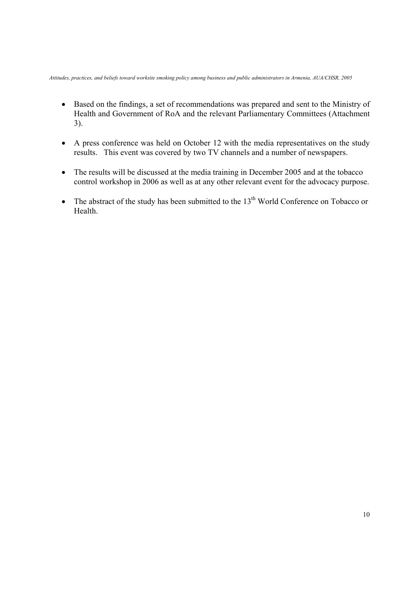- Based on the findings, a set of recommendations was prepared and sent to the Ministry of Health and Government of RoA and the relevant Parliamentary Committees (Attachment 3).
- A press conference was held on October 12 with the media representatives on the study results. This event was covered by two TV channels and a number of newspapers.
- The results will be discussed at the media training in December 2005 and at the tobacco control workshop in 2006 as well as at any other relevant event for the advocacy purpose.
- The abstract of the study has been submitted to the  $13<sup>th</sup>$  World Conference on Tobacco or Health.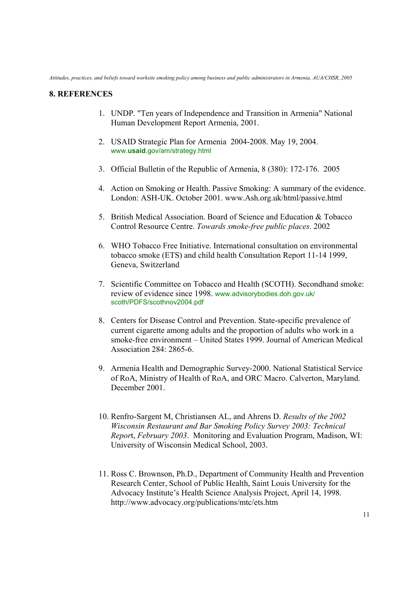### **8. REFERENCES**

- 1. UNDP. "Ten years of Independence and Transition in Armenia" National Human Development Report Armenia, 2001.
- 2. USAID Strategic Plan for Armenia 2004-2008. May 19, 2004. www.**usaid**.gov/am/strategy.html
- 3. Official Bulletin of the Republic of Armenia, 8 (380): 172-176. 2005
- 4. Action on Smoking or Health. Passive Smoking: A summary of the evidence. London: ASH-UK. October 2001. www.Ash.org.uk/html/passive.html
- 5. British Medical Association. Board of Science and Education & Tobacco Control Resource Centre. *Towards smoke-free public places*. 2002
- 6. WHO Tobacco Free Initiative. International consultation on environmental tobacco smoke (ETS) and child health Consultation Report 11-14 1999, Geneva, Switzerland
- 7. Scientific Committee on Tobacco and Health (SCOTH). Secondhand smoke: review of evidence since 1998. www.advisorybodies.doh.gov.uk/ scoth/PDFS/scothnov2004.pdf
- 8. Centers for Disease Control and Prevention. State-specific prevalence of current cigarette among adults and the proportion of adults who work in a smoke-free environment – United States 1999. Journal of American Medical Association 284: 2865-6.
- 9. Armenia Health and Demographic Survey-2000. National Statistical Service of RoA, Ministry of Health of RoA, and ORC Macro. Calverton, Maryland. December 2001.
- 10. Renfro-Sargent M, Christiansen AL, and Ahrens D. *Results of the 2002 Wisconsin Restaurant and Bar Smoking Policy Survey 2003: Technical Repor*t, *February 2003*. Monitoring and Evaluation Program, Madison, WI: University of Wisconsin Medical School, 2003.
- 11. Ross C. Brownson, Ph.D., Department of Community Health and Prevention Research Center, School of Public Health, Saint Louis University for the Advocacy Institute's Health Science Analysis Project, April 14, 1998. http://www.advocacy.org/publications/mtc/ets.htm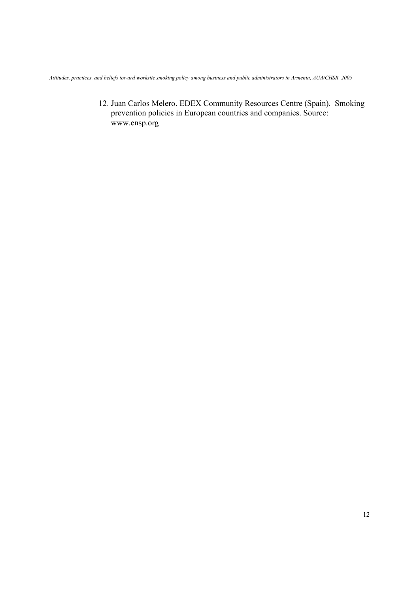12. Juan Carlos Melero. EDEX Community Resources Centre (Spain). Smoking prevention policies in European countries and companies. Source: www.ensp.org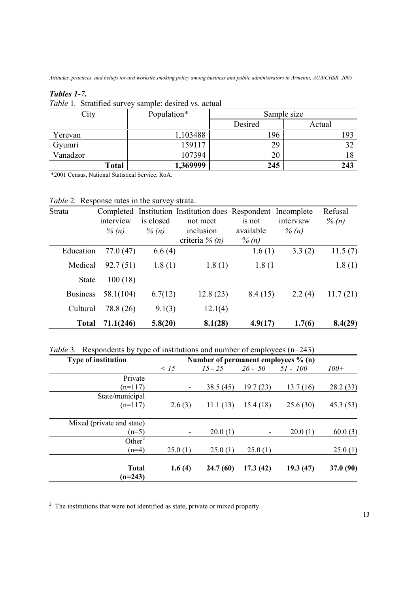# *Tables 1-7.*

*Table* 1*.* Stratified survey sample: desired vs. actual

| City     | Population* |         | Sample size |
|----------|-------------|---------|-------------|
|          |             | Desired | Actual      |
| Yerevan  | 1,103488    | 196     | 193         |
| Gyumri   | 159117      | 29      | 32          |
| Vanadzor | 107394      | 20      | 18          |
| Total    | 1,369999    | 245     | 243         |

\*2001 Census, National Statistical Service, RoA.

|  | Table 2. Response rates in the survey strata. |  |  |  |
|--|-----------------------------------------------|--|--|--|
|--|-----------------------------------------------|--|--|--|

| <b>Strata</b>   | interview<br>% $(n)$ | is closed<br>% $(n)$ | Completed Institution Institution does Respondent Incomplete<br>not meet<br>inclusion<br>criteria $\%$ (n) | is not<br>available<br>$\%$ (n) | interview<br>% $(n)$ | Refusal<br>$\%$ (n) |
|-----------------|----------------------|----------------------|------------------------------------------------------------------------------------------------------------|---------------------------------|----------------------|---------------------|
| Education       | 77.0(47)             | 6.6(4)               |                                                                                                            | 1.6(1)                          | 3.3(2)               | 11.5(7)             |
| Medical         | 92.7(51)             | 1.8(1)               | 1.8(1)                                                                                                     | 1.8(1)                          |                      | 1.8(1)              |
| <b>State</b>    | 100(18)              |                      |                                                                                                            |                                 |                      |                     |
| <b>Business</b> | 58.1(104)            | 6.7(12)              | 12.8(23)                                                                                                   | 8.4(15)                         | 2.2(4)               | 11.7(21)            |
| Cultural        | 78.8 (26)            | 9.1(3)               | 12.1(4)                                                                                                    |                                 |                      |                     |
| <b>Total</b>    | 71.1(246)            | 5.8(20)              | 8.1(28)                                                                                                    | 4.9(17)                         | 1.7(6)               | 8.4(29)             |

*Table 3.* Respondents by type of institutions and number of employees (n=243)

| <b>Type of institution</b> | Number of permanent employees % (n) |           |           |            |           |
|----------------------------|-------------------------------------|-----------|-----------|------------|-----------|
|                            | $\leq 15$                           | $15 - 25$ | $26 - 50$ | $51 - 100$ | $100+$    |
| Private                    |                                     |           |           |            |           |
| $(n=117)$                  |                                     | 38.5 (45) | 19.7(23)  | 13.7(16)   | 28.2(33)  |
| State/municipal            |                                     |           |           |            |           |
| $(n=117)$                  | 2.6(3)                              | 11.1(13)  | 15.4(18)  | 25.6(30)   | 45.3(53)  |
|                            |                                     |           |           |            |           |
| Mixed (private and state)  |                                     |           |           |            |           |
| $(n=5)$                    |                                     | 20.0(1)   |           | 20.0(1)    | 60.0(3)   |
| Other <sup>2</sup>         |                                     |           |           |            |           |
| $(n=4)$                    | 25.0(1)                             | 25.0(1)   | 25.0(1)   |            | 25.0(1)   |
| <b>Total</b><br>$(n=243)$  | 1.6(4)                              | 24.7(60)  | 17.3(42)  | 19.3(47)   | 37.0 (90) |

<sup>2</sup> The institutions that were not identified as state, private or mixed property.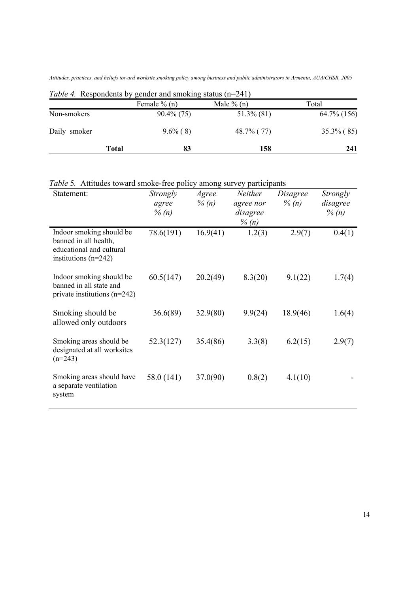*Attitudes, practices, and beliefs toward worksite smoking policy among business and public administrators in Armenia, AUA/CHSR, 2005* 

|              | Table 4. Respondents by genuer and smoking status $(n-241)$<br>Female $\%$ (n) | Male $\%$ (n) | Total          |
|--------------|--------------------------------------------------------------------------------|---------------|----------------|
| Non-smokers  | $90.4\%$ (75)                                                                  | $51.3\%$ (81) | $64.7\%$ (156) |
| Daily smoker | $9.6\%$ (8)                                                                    | 48.7% (77)    | $35.3\%$ (85)  |
|              | 83<br>Total                                                                    | 158           | 241            |

*Table 4.* Respondents by gender and smoking status (n=241)

| Table 5. Attitudes toward smoke-free policy among survey participants |  |  |  |  |  |  |
|-----------------------------------------------------------------------|--|--|--|--|--|--|
|-----------------------------------------------------------------------|--|--|--|--|--|--|

| Statement:                                                                                              | Strongly<br>agree<br>$\%$ (n) | Agree<br>$\%$ (n) | Neither<br>agree nor<br>disagree<br>% $(n)$ | Disagree<br>$\%$ (n) | Strongly<br>disagree<br>$\%$ (n) |
|---------------------------------------------------------------------------------------------------------|-------------------------------|-------------------|---------------------------------------------|----------------------|----------------------------------|
| Indoor smoking should be<br>banned in all health,<br>educational and cultural<br>institutions $(n=242)$ | 78.6(191)                     | 16.9(41)          | 1.2(3)                                      | 2.9(7)               | 0.4(1)                           |
| Indoor smoking should be<br>banned in all state and<br>private institutions $(n=242)$                   | 60.5(147)                     | 20.2(49)          | 8.3(20)                                     | 9.1(22)              | 1.7(4)                           |
| Smoking should be<br>allowed only outdoors                                                              | 36.6(89)                      | 32.9(80)          | 9.9(24)                                     | 18.9(46)             | 1.6(4)                           |
| Smoking areas should be<br>designated at all worksites<br>$(n=243)$                                     | 52.3(127)                     | 35.4(86)          | 3.3(8)                                      | 6.2(15)              | 2.9(7)                           |
| Smoking areas should have<br>a separate ventilation<br>system                                           | 58.0 (141)                    | 37.0(90)          | 0.8(2)                                      | 4.1(10)              |                                  |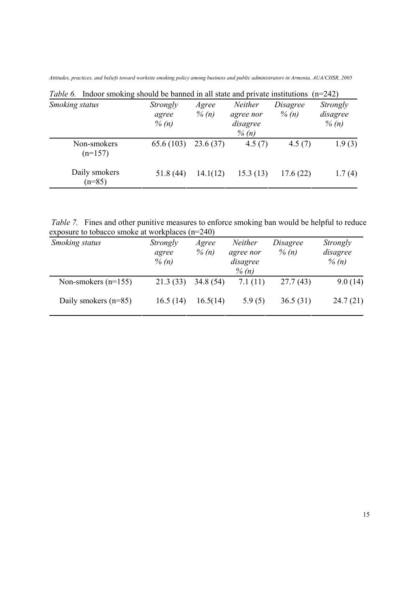*Attitudes, practices, and beliefs toward worksite smoking policy among business and public administrators in Armenia, AUA/CHSR, 2005* 

| <i>lable</i> 6. Indoor smoking should be banned in all state and private institutions |                               |                   |                                              |                      | $(n=242)$                       |
|---------------------------------------------------------------------------------------|-------------------------------|-------------------|----------------------------------------------|----------------------|---------------------------------|
| Smoking status                                                                        | Strongly<br>agree<br>$\%$ (n) | Agree<br>$\%$ (n) | Neither<br>agree nor<br>disagree<br>$\%$ (n) | Disagree<br>$\%$ (n) | Strongly<br>disagree<br>% $(n)$ |
| Non-smokers<br>$(n=157)$                                                              | 65.6(103)                     | 23.6(37)          | 4.5(7)                                       | 4.5(7)               | 1.9(3)                          |
| Daily smokers<br>$(n=85)$                                                             | 51.8(44)                      | 14.1(12)          | 15.3(13)                                     | 17.6(22)             | 1.7(4)                          |

*Table 6.* Indoor smoking should be banned in all state and private institutions (n=242)

*Table 7.* Fines and other punitive measures to enforce smoking ban would be helpful to reduce exposure to tobacco smoke at workplaces (n=240)

| Smoking status         | Strongly<br>agree<br>$\%$ (n) | Agree<br>$\%$ (n) | Neither<br>agree nor<br>disagree<br>$\%$ (n) | Disagree<br>$\%$ (n) | Strongly<br>disagree<br>$\%$ (n) |
|------------------------|-------------------------------|-------------------|----------------------------------------------|----------------------|----------------------------------|
| Non-smokers $(n=155)$  | 21.3(33)                      | 34.8(54)          | 7.1(11)                                      | 27.7(43)             | 9.0(14)                          |
| Daily smokers $(n=85)$ | 16.5(14)                      | 16.5(14)          | 5.9(5)                                       | 36.5(31)             | 24.7(21)                         |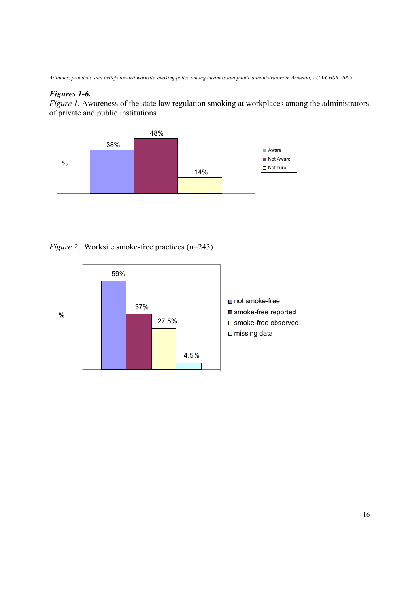# *Figures 1-6.*

*Figure 1.* Awareness of the state law regulation smoking at workplaces among the administrators of private and public institutions



*Figure 2.* Worksite smoke-free practices (n=243)

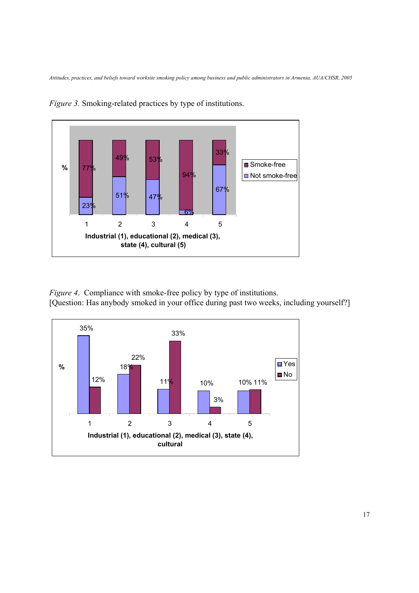

*Figure 3.* Smoking-related practices by type of institutions.

*Figure 4*. Compliance with smoke-free policy by type of institutions. [Question: Has anybody smoked in your office during past two weeks, including yourself?]

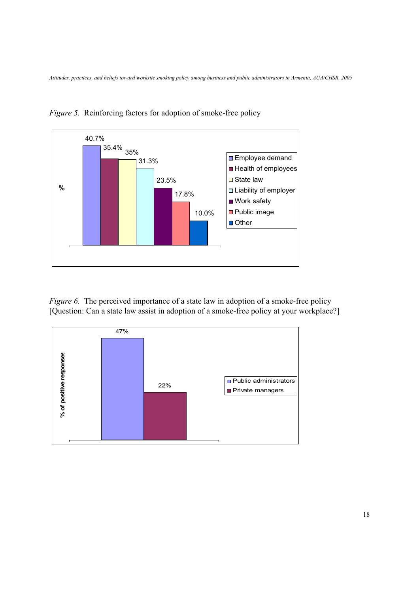

*Figure 5.* Reinforcing factors for adoption of smoke-free policy

*Figure 6.* The perceived importance of a state law in adoption of a smoke-free policy [Question: Can a state law assist in adoption of a smoke-free policy at your workplace?]

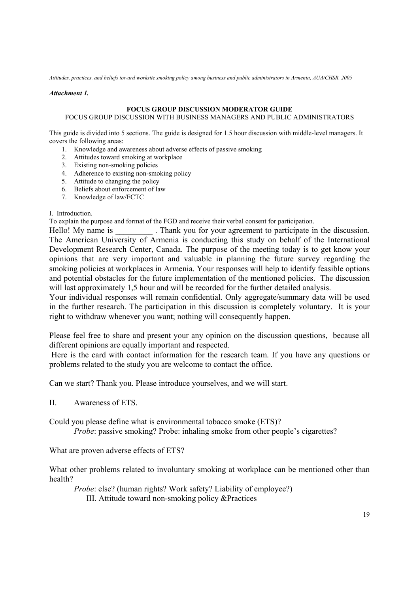#### *Attachment 1.*

#### **FOCUS GROUP DISCUSSION MODERATOR GUIDE**

### FOCUS GROUP DISCUSSION WITH BUSINESS MANAGERS AND PUBLIC ADMINISTRATORS

This guide is divided into 5 sections. The guide is designed for 1.5 hour discussion with middle-level managers. It covers the following areas:

- 1. Knowledge and awareness about adverse effects of passive smoking
- 2. Attitudes toward smoking at workplace
- 3. Existing non-smoking policies
- 4. Adherence to existing non-smoking policy
- 5. Attitude to changing the policy
- 6. Beliefs about enforcement of law
- 7. Knowledge of law/FCTC

### I. Introduction.

To explain the purpose and format of the FGD and receive their verbal consent for participation.

Hello! My name is . Thank you for your agreement to participate in the discussion. The American University of Armenia is conducting this study on behalf of the International Development Research Center, Canada. The purpose of the meeting today is to get know your opinions that are very important and valuable in planning the future survey regarding the smoking policies at workplaces in Armenia. Your responses will help to identify feasible options and potential obstacles for the future implementation of the mentioned policies. The discussion will last approximately 1,5 hour and will be recorded for the further detailed analysis.

Your individual responses will remain confidential. Only aggregate/summary data will be used in the further research. The participation in this discussion is completely voluntary. It is your right to withdraw whenever you want; nothing will consequently happen.

Please feel free to share and present your any opinion on the discussion questions, because all different opinions are equally important and respected.

 Here is the card with contact information for the research team. If you have any questions or problems related to the study you are welcome to contact the office.

Can we start? Thank you. Please introduce yourselves, and we will start.

II. Awareness of ETS.

Could you please define what is environmental tobacco smoke (ETS)?

*Probe*: passive smoking? Probe: inhaling smoke from other people's cigarettes?

What are proven adverse effects of ETS?

What other problems related to involuntary smoking at workplace can be mentioned other than health?

*Probe*: else? (human rights? Work safety? Liability of employee?)

III. Attitude toward non-smoking policy &Practices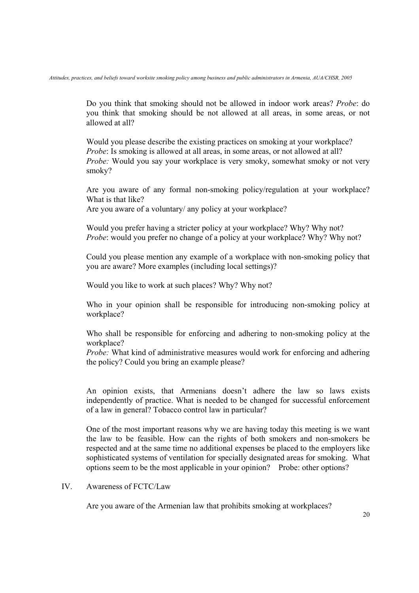Do you think that smoking should not be allowed in indoor work areas? *Probe*: do you think that smoking should be not allowed at all areas, in some areas, or not allowed at all?

Would you please describe the existing practices on smoking at your workplace? *Probe*: Is smoking is allowed at all areas, in some areas, or not allowed at all? *Probe:* Would you say your workplace is very smoky, somewhat smoky or not very smoky?

Are you aware of any formal non-smoking policy/regulation at your workplace? What is that like?

Are you aware of a voluntary/ any policy at your workplace?

Would you prefer having a stricter policy at your workplace? Why? Why not? *Probe*: would you prefer no change of a policy at your workplace? Why? Why not?

Could you please mention any example of a workplace with non-smoking policy that you are aware? More examples (including local settings)?

Would you like to work at such places? Why? Why not?

Who in your opinion shall be responsible for introducing non-smoking policy at workplace?

Who shall be responsible for enforcing and adhering to non-smoking policy at the workplace?

*Probe:* What kind of administrative measures would work for enforcing and adhering the policy? Could you bring an example please?

An opinion exists, that Armenians doesn't adhere the law so laws exists independently of practice. What is needed to be changed for successful enforcement of a law in general? Tobacco control law in particular?

One of the most important reasons why we are having today this meeting is we want the law to be feasible. How can the rights of both smokers and non-smokers be respected and at the same time no additional expenses be placed to the employers like sophisticated systems of ventilation for specially designated areas for smoking. What options seem to be the most applicable in your opinion? Probe: other options?

### IV. Awareness of FCTC/Law

Are you aware of the Armenian law that prohibits smoking at workplaces?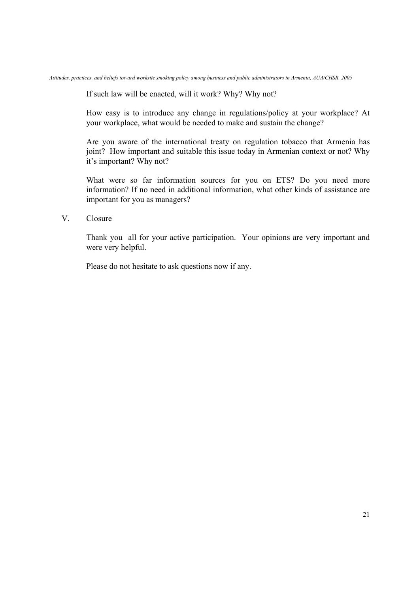If such law will be enacted, will it work? Why? Why not?

How easy is to introduce any change in regulations/policy at your workplace? At your workplace, what would be needed to make and sustain the change?

Are you aware of the international treaty on regulation tobacco that Armenia has joint? How important and suitable this issue today in Armenian context or not? Why it's important? Why not?

What were so far information sources for you on ETS? Do you need more information? If no need in additional information, what other kinds of assistance are important for you as managers?

### V. Closure

Thank you all for your active participation. Your opinions are very important and were very helpful.

Please do not hesitate to ask questions now if any.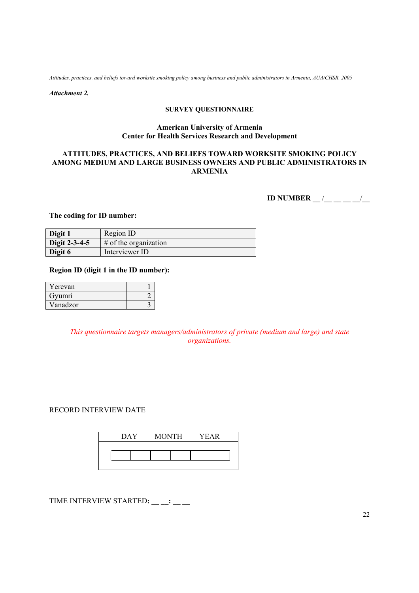*Attachment 2.* 

#### **SURVEY QUESTIONNAIRE**

#### **American University of Armenia Center for Health Services Research and Development**

### **ATTITUDES, PRACTICES, AND BELIEFS TOWARD WORKSITE SMOKING POLICY AMONG MEDIUM AND LARGE BUSINESS OWNERS AND PUBLIC ADMINISTRATORS IN ARMENIA**

**ID NUMBER** \_\_ /\_\_ \_\_ \_\_ \_/\_\_

**The coding for ID number:** 

| Digit 1       | Region ID                |
|---------------|--------------------------|
| Digit 2-3-4-5 | $\#$ of the organization |
| Digit 6       | Interviewer ID           |

### **Region ID (digit 1 in the ID number):**

| Yerevan  |  |
|----------|--|
| Gyumri   |  |
| Vanadzor |  |

*This questionnaire targets managers/administrators of private (medium and large) and state organizations.* 

### RECORD INTERVIEW DATE

| DAY. | <b>MONTH</b> | <b>YEAR</b> |
|------|--------------|-------------|
|      |              |             |
|      |              |             |
|      |              |             |

TIME INTERVIEW STARTED: \_\_ \_: \_\_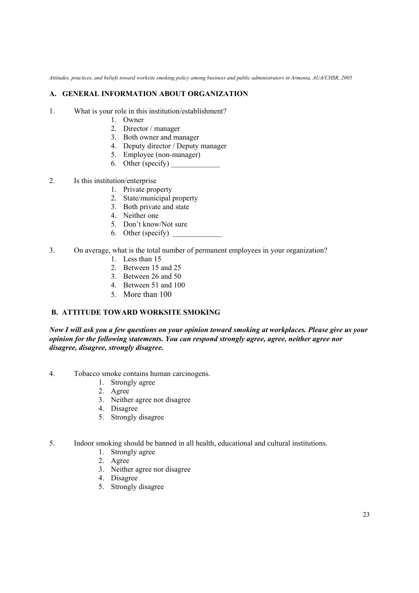### **A. GENERAL INFORMATION ABOUT ORGANIZATION**

- 1. What is your role in this institution/establishment?
	- 1. Owner
	- 2. Director / manager
	- 3. Both owner and manager
	- 4. Deputy director / Deputy manager
	- 5. Employee (non-manager)
	- 6. Other (specify)
- 2. Is this institution/enterprise
	- 1. Private property
	- 2. State/municipal property
	- 3. Both private and state
	- 4. Neither one
	- 5. Don't know/Not sure
	- 6. Other (specify)  $\qquad \qquad$
- 3. On average, what is the total number of permanent employees in your organization?
	- 1. Less than 15
	- 2. Between 15 and 25
	- 3. Between 26 and 50
	- 4. Between 51 and 100
	- 5. More than 100

# **B. ATTITUDE TOWARD WORKSITE SMOKING**

*Now I will ask you a few questions on your opinion toward smoking at workplaces. Please give us your opinion for the following statements. You can respond strongly agree, agree, neither agree nor disagree, disagree, strongly disagree.* 

- 4. Tobacco smoke contains human carcinogens.
	- 1. Strongly agree
	- 2. Agree
	- 3. Neither agree nor disagree
	- 4. Disagree
	- 5. Strongly disagree
- 5. Indoor smoking should be banned in all health, educational and cultural institutions.
	- 1. Strongly agree
	- 2. Agree
	- 3. Neither agree nor disagree
	- 4. Disagree
	- 5. Strongly disagree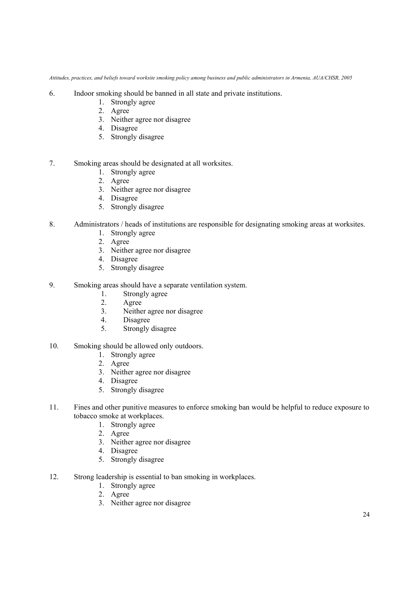- 6. Indoor smoking should be banned in all state and private institutions.
	- 1. Strongly agree
	- 2. Agree
	- 3. Neither agree nor disagree
	- 4. Disagree
	- 5. Strongly disagree

### 7. Smoking areas should be designated at all worksites.

- 1. Strongly agree
- 2. Agree
- 3. Neither agree nor disagree
- 4. Disagree
- 5. Strongly disagree
- 8. Administrators / heads of institutions are responsible for designating smoking areas at worksites.
	- 1. Strongly agree
	- 2. Agree
	- 3. Neither agree nor disagree
	- 4. Disagree
	- 5. Strongly disagree
- 9. Smoking areas should have a separate ventilation system.
	- 1. Strongly agree
	- 2. Agree
	- 3. Neither agree nor disagree
	- 4. Disagree
	- 5. Strongly disagree
- 10. Smoking should be allowed only outdoors.
	- 1. Strongly agree
	- 2. Agree
	- 3. Neither agree nor disagree
	- 4. Disagree
	- 5. Strongly disagree
- 11. Fines and other punitive measures to enforce smoking ban would be helpful to reduce exposure to tobacco smoke at workplaces.
	- 1. Strongly agree
	- 2. Agree
	- 3. Neither agree nor disagree
	- 4. Disagree
	- 5. Strongly disagree
- 12. Strong leadership is essential to ban smoking in workplaces.
	- 1. Strongly agree
	- 2. Agree
	- 3. Neither agree nor disagree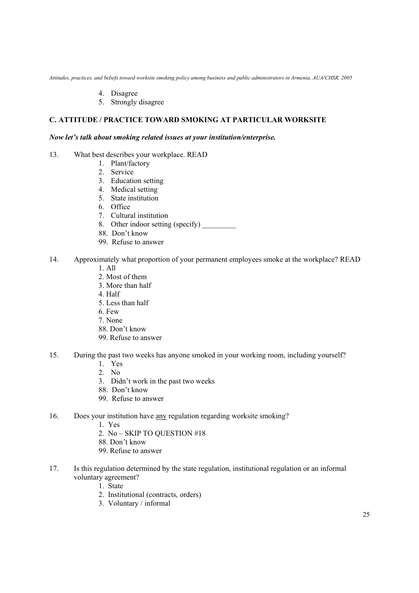- 4. Disagree
- 5. Strongly disagree

# **C. ATTITUDE / PRACTICE TOWARD SMOKING AT PARTICULAR WORKSITE**

#### *Now let's talk about smoking related issues at your institution/enterprise.*

- 13. What best describes your workplace. READ
	- 1. Plant/factory
	- 2. Service
	- 3. Education setting
	- 4. Medical setting
	- 5. State institution
	- 6. Office
	- 7. Cultural institution
	- 8. Other indoor setting (specify)
	- 88. Don't know
	- 99. Refuse to answer
- 14. Approximately what proportion of your permanent employees smoke at the workplace? READ 1. All
	-
	- 2. Most of them
	- 3. More than half
	- 4. Half
	- 5. Less than half
	- 6. Few
	- 7. None
	- 88. Don't know
	- 99. Refuse to answer
- 15. During the past two weeks has anyone smoked in your working room, including yourself?
	- 1. Yes
	- 2. No
	- 3. Didn't work in the past two weeks
	- 88. Don't know
	- 99. Refuse to answer
- 16. Does your institution have any regulation regarding worksite smoking?
	- 1. Yes
	- 2. No SKIP TO QUESTION #18
	- 88. Don't know
	- 99. Refuse to answer
- 17. Is this regulation determined by the state regulation, institutional regulation or an informal voluntary agreement?
	- 1. State
	- 2. Institutional (contracts, orders)
	- 3. Voluntary / informal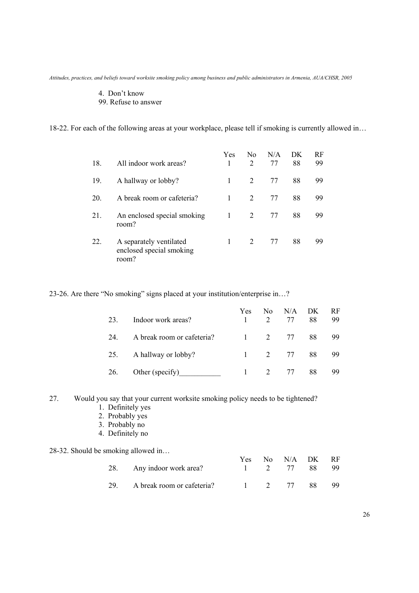### 4. Don't know

99. Refuse to answer

18-22. For each of the following areas at your workplace, please tell if smoking is currently allowed in…

| 18. | All indoor work areas?                                       | <b>Yes</b> | No.<br>$\mathcal{D}_{\mathcal{L}}$ | N/A<br>77 | DK<br>88 | RF<br>99 |
|-----|--------------------------------------------------------------|------------|------------------------------------|-----------|----------|----------|
| 19. | A hallway or lobby?                                          | 1          | 2                                  | 77        | 88       | 99       |
| 20. | A break room or cafeteria?                                   | 1          | 2                                  | 77        | 88       | 99       |
| 21. | An enclosed special smoking<br>room?                         | 1          | 2                                  | 77        | 88       | 99       |
| 22. | A separately ventilated<br>enclosed special smoking<br>room? |            | 2                                  | 77        | 88       | 99       |

23-26. Are there "No smoking" signs placed at your institution/enterprise in…?

| 23. | Indoor work areas?         | Yes. | No. | N/A<br>2 77          | DK<br>88 | RF.<br>99 |
|-----|----------------------------|------|-----|----------------------|----------|-----------|
| 24. | A break room or cafeteria? |      |     | 1 2 77 88            |          | -99       |
|     | 25. A hallway or lobby?    |      |     | $1 \t 2 \t 77 \t 88$ |          | -99       |
| 26. | Other (specify)            |      |     | 2 77                 | 88       | 99.       |

27. Would you say that your current worksite smoking policy needs to be tightened?

- 1. Definitely yes
- 2. Probably yes
- 3. Probably no
- 4. Definitely no

### 28-32. Should be smoking allowed in…

|                                |           | Yes No N/A DK RF |      |
|--------------------------------|-----------|------------------|------|
| 28. Any indoor work area?      |           | 1 2 77 88 99     |      |
| 29. A break room or cafeteria? | 1 2 77 88 |                  | - 99 |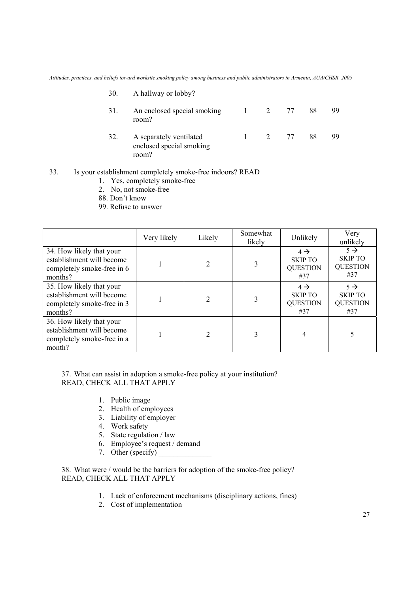| 30. | A hallway or lobby?                                          |          |      |    |    |
|-----|--------------------------------------------------------------|----------|------|----|----|
| 31. | An enclosed special smoking<br>room?                         | $\sim$ 1 | 2 77 | 88 | 99 |
| 32. | A separately ventilated<br>enclosed special smoking<br>room? |          | 2 77 | 88 | 99 |

### 33. Is your establishment completely smoke-free indoors? READ

- 1. Yes, completely smoke-free
- 2. No, not smoke-free
- 88. Don't know
- 99. Refuse to answer

|                                                                                                | Very likely | Likely         | Somewhat<br>likely | Unlikely                                                    | Very<br>unlikely                                            |
|------------------------------------------------------------------------------------------------|-------------|----------------|--------------------|-------------------------------------------------------------|-------------------------------------------------------------|
| 34. How likely that your<br>establishment will become<br>completely smoke-free in 6<br>months? |             |                | 3                  | $4 \rightarrow$<br><b>SKIP TO</b><br><b>QUESTION</b><br>#37 | $5 \rightarrow$<br><b>SKIP TO</b><br><b>QUESTION</b><br>#37 |
| 35. How likely that your<br>establishment will become<br>completely smoke-free in 3<br>months? |             |                | 3                  | $4 \rightarrow$<br><b>SKIP TO</b><br><b>QUESTION</b><br>#37 | $5 \rightarrow$<br><b>SKIP TO</b><br><b>QUESTION</b><br>#37 |
| 36. How likely that your<br>establishment will become<br>completely smoke-free in a<br>month?  |             | $\mathfrak{D}$ | 3                  | 4                                                           |                                                             |

37. What can assist in adoption a smoke-free policy at your institution? READ, CHECK ALL THAT APPLY

- 1. Public image
- 2. Health of employees
- 3. Liability of employer
- 4. Work safety
- 5. State regulation / law
- 6. Employee's request / demand
- 7. Other (specify)

38. What were / would be the barriers for adoption of the smoke-free policy? READ, CHECK ALL THAT APPLY

- 1. Lack of enforcement mechanisms (disciplinary actions, fines)
- 2. Cost of implementation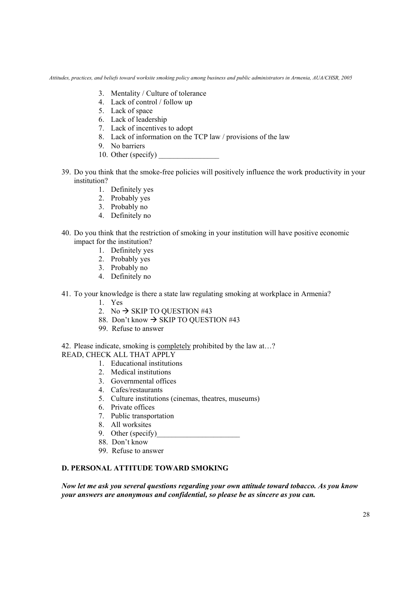- 3. Mentality / Culture of tolerance
- 4. Lack of control / follow up
- 5. Lack of space
- 6. Lack of leadership
- 7. Lack of incentives to adopt
- 8. Lack of information on the TCP law / provisions of the law
- 9. No barriers
- 10. Other (specify)
- 39. Do you think that the smoke-free policies will positively influence the work productivity in your institution?
	- 1. Definitely yes
	- 2. Probably yes
	- 3. Probably no
	- 4. Definitely no
- 40. Do you think that the restriction of smoking in your institution will have positive economic impact for the institution?
	- 1. Definitely yes
	- 2. Probably yes
	- 3. Probably no
	- 4. Definitely no
- 41. To your knowledge is there a state law regulating smoking at workplace in Armenia?
	- 1. Yes
	- 2. No  $\rightarrow$  SKIP TO QUESTION #43
	- 88. Don't know  $\rightarrow$  SKIP TO QUESTION #43
	- 99. Refuse to answer

42. Please indicate, smoking is completely prohibited by the law at…?

- READ, CHECK ALL THAT APPLY
	- 1. Educational institutions
	- 2. Medical institutions
	- 3. Governmental offices
	- 4. Cafes/restaurants
	- 5. Culture institutions (cinemas, theatres, museums)
	- 6. Private offices
	- 7. Public transportation
	- 8. All worksites
	- 9. Other (specify)
	- 88. Don't know
	- 99. Refuse to answer

# **D. PERSONAL ATTITUDE TOWARD SMOKING**

*Now let me ask you several questions regarding your own attitude toward tobacco. As you know your answers are anonymous and confidential, so please be as sincere as you can.*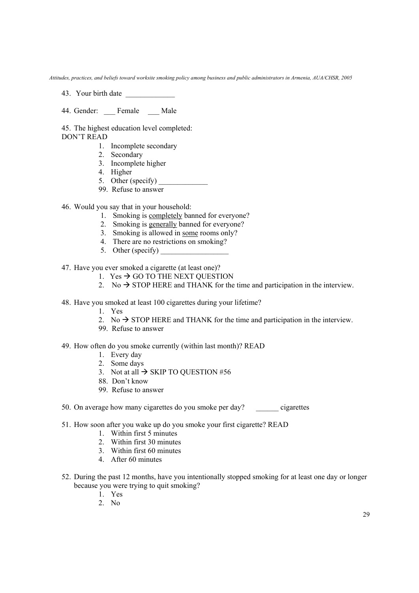- 43. Your birth date \_\_\_\_\_\_\_\_\_\_\_\_\_
- 44. Gender: \_\_\_ Female \_\_\_ Male

45. The highest education level completed:

- DON'T READ
	- 1. Incomplete secondary
	- 2. Secondary
	- 3. Incomplete higher
	- 4. Higher
	- 5. Other (specify)  $\qquad \qquad$
	- 99. Refuse to answer
- 46. Would you say that in your household:
	- 1. Smoking is completely banned for everyone?
	- 2. Smoking is generally banned for everyone?
	- 3. Smoking is allowed in some rooms only?
	- 4. There are no restrictions on smoking?
	- 5. Other (specify)

47. Have you ever smoked a cigarette (at least one)?

- 1. Yes  $\rightarrow$  GO TO THE NEXT OUESTION
- 2. No  $\rightarrow$  STOP HERE and THANK for the time and participation in the interview.
- 48. Have you smoked at least 100 cigarettes during your lifetime?
	- 1. Yes
	- 2. No  $\rightarrow$  STOP HERE and THANK for the time and participation in the interview.
	- 99. Refuse to answer
- 49. How often do you smoke currently (within last month)? READ
	- 1. Every day
	- 2. Some days
	- 3. Not at all  $\rightarrow$  SKIP TO QUESTION #56
	- 88. Don't know
	- 99. Refuse to answer
- 50. On average how many cigarettes do you smoke per day? cigarettes
- 51. How soon after you wake up do you smoke your first cigarette? READ
	- 1. Within first 5 minutes
	- 2. Within first 30 minutes
	- 3. Within first 60 minutes
	- 4. After 60 minutes
- 52. During the past 12 months, have you intentionally stopped smoking for at least one day or longer because you were trying to quit smoking?
	- 1. Yes
	- 2. No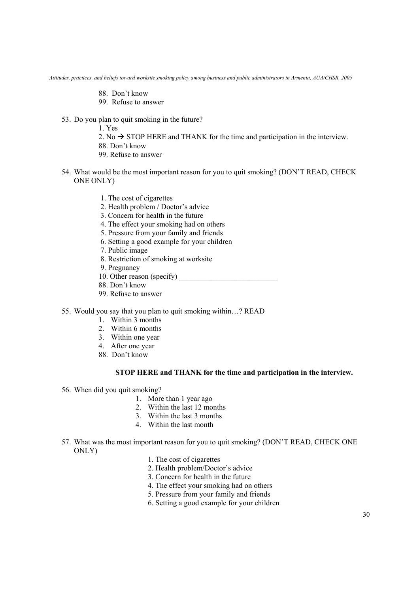- 88. Don't know
- 99. Refuse to answer
- 53. Do you plan to quit smoking in the future?
	- 1. Yes
	- 2. No  $\rightarrow$  STOP HERE and THANK for the time and participation in the interview.
	- 88. Don't know
	- 99. Refuse to answer
- 54. What would be the most important reason for you to quit smoking? (DON'T READ, CHECK ONE ONLY)
	- 1. The cost of cigarettes
	- 2. Health problem / Doctor's advice
	- 3. Concern for health in the future
	- 4. The effect your smoking had on others
	- 5. Pressure from your family and friends
	- 6. Setting a good example for your children
	- 7. Public image
	- 8. Restriction of smoking at worksite
	- 9. Pregnancy
	- 10. Other reason (specify)
	- 88. Don't know
	- 99. Refuse to answer
- 55. Would you say that you plan to quit smoking within…? READ
	- 1. Within 3 months
	- 2. Within 6 months
	- 3. Within one year
	- 4. After one year
	- 88. Don't know

#### **STOP HERE and THANK for the time and participation in the interview.**

- 56. When did you quit smoking?
	- 1. More than 1 year ago
	- 2. Within the last 12 months
	- 3. Within the last 3 months
	- 4. Within the last month
- 57. What was the most important reason for you to quit smoking? (DON'T READ, CHECK ONE ONLY)
	- 1. The cost of cigarettes
	- 2. Health problem/Doctor's advice
	- 3. Concern for health in the future
	- 4. The effect your smoking had on others
	- 5. Pressure from your family and friends
	- 6. Setting a good example for your children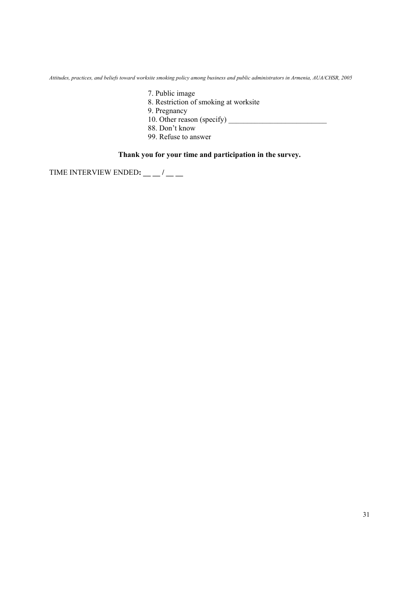- 7. Public image
- 8. Restriction of smoking at worksite
- 9. Pregnancy
- 10. Other reason (specify)  $\frac{1}{\sqrt{1-\frac{1}{2}}\sqrt{1-\frac{1}{2}}\sqrt{1-\frac{1}{2}}\sqrt{1-\frac{1}{2}}\sqrt{1-\frac{1}{2}}\sqrt{1-\frac{1}{2}}\sqrt{1-\frac{1}{2}}\sqrt{1-\frac{1}{2}}\sqrt{1-\frac{1}{2}}\sqrt{1-\frac{1}{2}}\sqrt{1-\frac{1}{2}}\sqrt{1-\frac{1}{2}}\sqrt{1-\frac{1}{2}}\sqrt{1-\frac{1}{2}}\sqrt{1-\frac{1}{2}}\sqrt{1-\frac{1}{2}}\sqrt{1-\frac{1}{2}}\$
- 88. Don't know
- 99. Refuse to answer

# **Thank you for your time and participation in the survey.**

TIME INTERVIEW ENDED**: \_\_ \_\_ / \_\_ \_\_**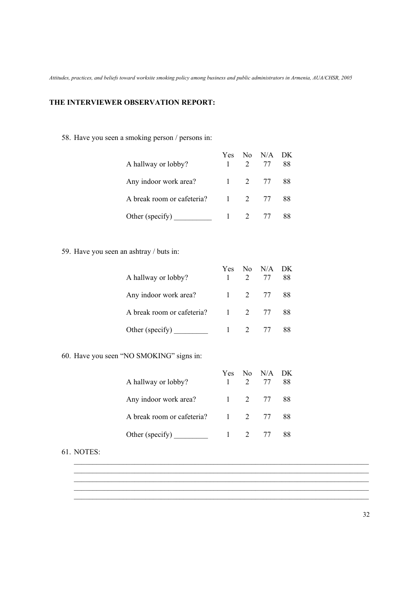### **THE INTERVIEWER OBSERVATION REPORT:**

58. Have you seen a smoking person / persons in:

| A hallway or lobby?        | Yes | 2 | No N/A DK<br>77 | 88 |
|----------------------------|-----|---|-----------------|----|
| Any indoor work area?      |     |   | 1 2 77 88       |    |
| A break room or cafeteria? |     |   | 1 2 77          | 88 |
| Other (specify)            |     |   | $1 \t2 \t77$    | 88 |

59. Have you seen an ashtray / buts in:

| A hallway or lobby?        | Yes    |              | No N/A DK<br>2 77 | 88 |
|----------------------------|--------|--------------|-------------------|----|
| Any indoor work area?      |        |              | 1 2 77 88         |    |
| A break room or cafeteria? | 1 2 77 |              |                   | 88 |
| Other (specify)            |        | $1 \t2 \t77$ |                   | 88 |

### 60. Have you seen "NO SMOKING" signs in:

| A hallway or lobby?        | Yes    | $No$ $N/A$ $DK$<br>2 77 | 88   |
|----------------------------|--------|-------------------------|------|
| Any indoor work area?      |        | $1 \t 2 \t 77$          | - 88 |
| A break room or cafeteria? | 1 2 77 |                         | 88   |
| Other (specify)            |        | $1 \t2 \t77$            | 88   |

\_\_\_\_\_\_\_\_\_\_\_\_\_\_\_\_\_\_\_\_\_\_\_\_\_\_\_\_\_\_\_\_\_\_\_\_\_\_\_\_\_\_\_\_\_\_\_\_\_\_\_\_\_\_\_\_\_\_\_\_\_\_\_\_\_\_\_\_\_\_\_\_\_\_\_\_\_\_  $\mathcal{L}_\text{max}$ \_\_\_\_\_\_\_\_\_\_\_\_\_\_\_\_\_\_\_\_\_\_\_\_\_\_\_\_\_\_\_\_\_\_\_\_\_\_\_\_\_\_\_\_\_\_\_\_\_\_\_\_\_\_\_\_\_\_\_\_\_\_\_\_\_\_\_\_\_\_\_\_\_\_\_\_\_\_  $\overline{\phantom{a}}$  , and the set of the set of the set of the set of the set of the set of the set of the set of the set of the set of the set of the set of the set of the set of the set of the set of the set of the set of the s  $\mathcal{L}_\mathcal{L} = \mathcal{L}_\mathcal{L} = \mathcal{L}_\mathcal{L} = \mathcal{L}_\mathcal{L} = \mathcal{L}_\mathcal{L} = \mathcal{L}_\mathcal{L} = \mathcal{L}_\mathcal{L} = \mathcal{L}_\mathcal{L} = \mathcal{L}_\mathcal{L} = \mathcal{L}_\mathcal{L} = \mathcal{L}_\mathcal{L} = \mathcal{L}_\mathcal{L} = \mathcal{L}_\mathcal{L} = \mathcal{L}_\mathcal{L} = \mathcal{L}_\mathcal{L} = \mathcal{L}_\mathcal{L} = \mathcal{L}_\mathcal{L}$ 

### 61. NOTES: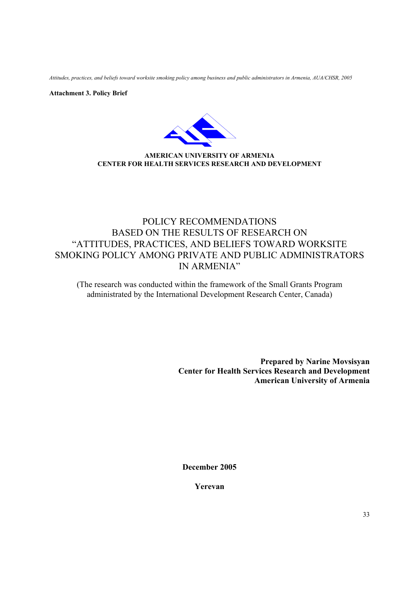**Attachment 3. Policy Brief** 



**AMERICAN UNIVERSITY OF ARMENIA CENTER FOR HEALTH SERVICES RESEARCH AND DEVELOPMENT** 

# POLICY RECOMMENDATIONS BASED ON THE RESULTS OF RESEARCH ON "ATTITUDES, PRACTICES, AND BELIEFS TOWARD WORKSITE SMOKING POLICY AMONG PRIVATE AND PUBLIC ADMINISTRATORS IN ARMENIA"

(The research was conducted within the framework of the Small Grants Program administrated by the International Development Research Center, Canada)

> **Prepared by Narine Movsisyan Center for Health Services Research and Development American University of Armenia**

**December 2005** 

**Yerevan**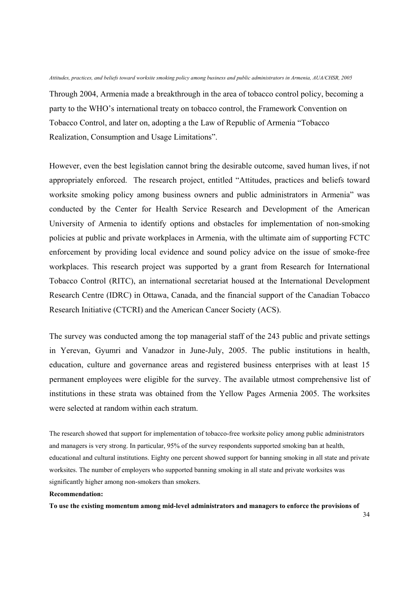Through 2004, Armenia made a breakthrough in the area of tobacco control policy, becoming a party to the WHO's international treaty on tobacco control, the Framework Convention on Tobacco Control, and later on, adopting a the Law of Republic of Armenia "Tobacco Realization, Consumption and Usage Limitations".

However, even the best legislation cannot bring the desirable outcome, saved human lives, if not appropriately enforced. The research project, entitled "Attitudes, practices and beliefs toward worksite smoking policy among business owners and public administrators in Armenia" was conducted by the Center for Health Service Research and Development of the American University of Armenia to identify options and obstacles for implementation of non-smoking policies at public and private workplaces in Armenia, with the ultimate aim of supporting FCTC enforcement by providing local evidence and sound policy advice on the issue of smoke-free workplaces. This research project was supported by a grant from Research for International Tobacco Control (RITC), an international secretariat housed at the International Development Research Centre (IDRC) in Ottawa, Canada, and the financial support of the Canadian Tobacco Research Initiative (CTCRI) and the American Cancer Society (ACS).

The survey was conducted among the top managerial staff of the 243 public and private settings in Yerevan, Gyumri and Vanadzor in June-July, 2005. The public institutions in health, education, culture and governance areas and registered business enterprises with at least 15 permanent employees were eligible for the survey. The available utmost comprehensive list of institutions in these strata was obtained from the Yellow Pages Armenia 2005. The worksites were selected at random within each stratum.

The research showed that support for implementation of tobacco-free worksite policy among public administrators and managers is very strong. In particular, 95% of the survey respondents supported smoking ban at health, educational and cultural institutions. Eighty one percent showed support for banning smoking in all state and private worksites. The number of employers who supported banning smoking in all state and private worksites was significantly higher among non-smokers than smokers.

#### **Recommendation:**

**To use the existing momentum among mid-level administrators and managers to enforce the provisions of**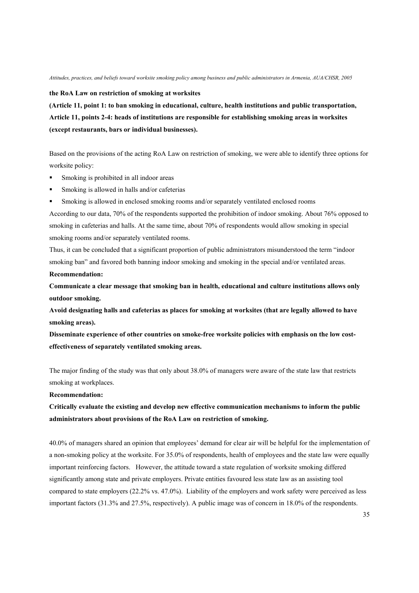**the RoA Law on restriction of smoking at worksites** 

**(Article 11, point 1: to ban smoking in educational, culture, health institutions and public transportation, Article 11, points 2-4: heads of institutions are responsible for establishing smoking areas in worksites (except restaurants, bars or individual businesses).** 

Based on the provisions of the acting RoA Law on restriction of smoking, we were able to identify three options for worksite policy:

- Smoking is prohibited in all indoor areas
- Smoking is allowed in halls and/or cafeterias
- Smoking is allowed in enclosed smoking rooms and/or separately ventilated enclosed rooms

According to our data, 70% of the respondents supported the prohibition of indoor smoking. About 76% opposed to smoking in cafeterias and halls. At the same time, about 70% of respondents would allow smoking in special smoking rooms and/or separately ventilated rooms.

Thus, it can be concluded that a significant proportion of public administrators misunderstood the term "indoor smoking ban" and favored both banning indoor smoking and smoking in the special and/or ventilated areas. **Recommendation:** 

**Communicate a clear message that smoking ban in health, educational and culture institutions allows only outdoor smoking.** 

**Avoid designating halls and cafeterias as places for smoking at worksites (that are legally allowed to have smoking areas).** 

**Disseminate experience of other countries on smoke-free worksite policies with emphasis on the low costeffectiveness of separately ventilated smoking areas.** 

The major finding of the study was that only about 38.0% of managers were aware of the state law that restricts smoking at workplaces.

#### **Recommendation:**

**Critically evaluate the existing and develop new effective communication mechanisms to inform the public administrators about provisions of the RoA Law on restriction of smoking.** 

40.0% of managers shared an opinion that employees' demand for clear air will be helpful for the implementation of a non-smoking policy at the worksite. For 35.0% of respondents, health of employees and the state law were equally important reinforcing factors. However, the attitude toward a state regulation of worksite smoking differed significantly among state and private employers. Private entities favoured less state law as an assisting tool compared to state employers (22.2% vs. 47.0%). Liability of the employers and work safety were perceived as less important factors (31.3% and 27.5%, respectively). A public image was of concern in 18.0% of the respondents.